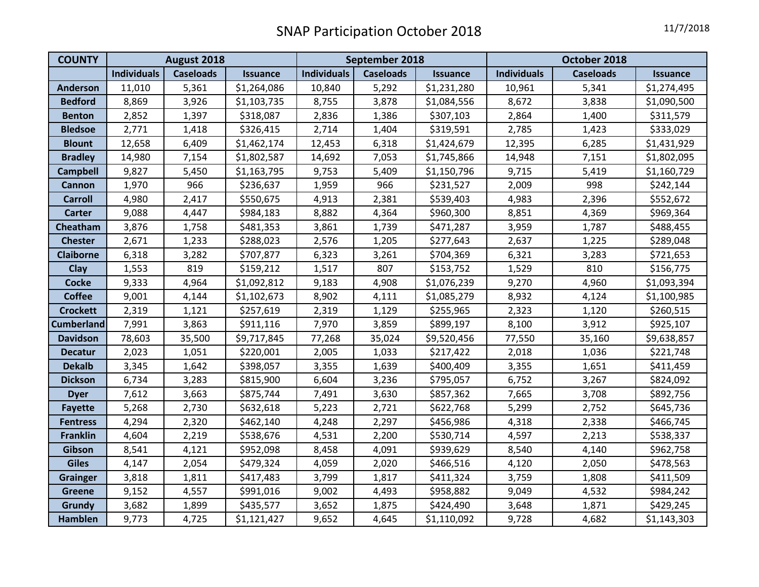| <b>COUNTY</b>     | August 2018        |                  |                 | September 2018     |                  |                 | October 2018       |                  |                 |
|-------------------|--------------------|------------------|-----------------|--------------------|------------------|-----------------|--------------------|------------------|-----------------|
|                   | <b>Individuals</b> | <b>Caseloads</b> | <b>Issuance</b> | <b>Individuals</b> | <b>Caseloads</b> | <b>Issuance</b> | <b>Individuals</b> | <b>Caseloads</b> | <b>Issuance</b> |
| <b>Anderson</b>   | 11,010             | 5,361            | \$1,264,086     | 10,840             | 5,292            | \$1,231,280     | 10,961             | 5,341            | \$1,274,495     |
| <b>Bedford</b>    | 8,869              | 3,926            | \$1,103,735     | 8,755              | 3,878            | \$1,084,556     | 8,672              | 3,838            | \$1,090,500     |
| <b>Benton</b>     | 2,852              | 1,397            | \$318,087       | 2,836              | 1,386            | \$307,103       | 2,864              | 1,400            | \$311,579       |
| <b>Bledsoe</b>    | 2,771              | 1,418            | \$326,415       | 2,714              | 1,404            | \$319,591       | 2,785              | 1,423            | \$333,029       |
| <b>Blount</b>     | 12,658             | 6,409            | \$1,462,174     | 12,453             | 6,318            | \$1,424,679     | 12,395             | 6,285            | \$1,431,929     |
| <b>Bradley</b>    | 14,980             | 7,154            | \$1,802,587     | 14,692             | 7,053            | \$1,745,866     | 14,948             | 7,151            | \$1,802,095     |
| <b>Campbell</b>   | 9,827              | 5,450            | \$1,163,795     | 9,753              | 5,409            | \$1,150,796     | 9,715              | 5,419            | \$1,160,729     |
| <b>Cannon</b>     | 1,970              | 966              | \$236,637       | 1,959              | 966              | \$231,527       | 2,009              | 998              | \$242,144       |
| <b>Carroll</b>    | 4,980              | 2,417            | \$550,675       | 4,913              | 2,381            | \$539,403       | 4,983              | 2,396            | \$552,672       |
| <b>Carter</b>     | 9,088              | 4,447            | \$984,183       | 8,882              | 4,364            | \$960,300       | 8,851              | 4,369            | \$969,364       |
| Cheatham          | 3,876              | 1,758            | \$481,353       | 3,861              | 1,739            | \$471,287       | 3,959              | 1,787            | \$488,455       |
| <b>Chester</b>    | 2,671              | 1,233            | \$288,023       | 2,576              | 1,205            | \$277,643       | 2,637              | 1,225            | \$289,048       |
| <b>Claiborne</b>  | 6,318              | 3,282            | \$707,877       | 6,323              | 3,261            | \$704,369       | 6,321              | 3,283            | \$721,653       |
| Clay              | 1,553              | 819              | \$159,212       | 1,517              | 807              | \$153,752       | 1,529              | 810              | \$156,775       |
| <b>Cocke</b>      | 9,333              | 4,964            | \$1,092,812     | 9,183              | 4,908            | \$1,076,239     | 9,270              | 4,960            | \$1,093,394     |
| <b>Coffee</b>     | 9,001              | 4,144            | \$1,102,673     | 8,902              | 4,111            | \$1,085,279     | 8,932              | 4,124            | \$1,100,985     |
| <b>Crockett</b>   | 2,319              | 1,121            | \$257,619       | 2,319              | 1,129            | \$255,965       | 2,323              | 1,120            | \$260,515       |
| <b>Cumberland</b> | 7,991              | 3,863            | \$911,116       | 7,970              | 3,859            | \$899,197       | 8,100              | 3,912            | \$925,107       |
| <b>Davidson</b>   | 78,603             | 35,500           | \$9,717,845     | 77,268             | 35,024           | \$9,520,456     | 77,550             | 35,160           | \$9,638,857     |
| <b>Decatur</b>    | 2,023              | 1,051            | \$220,001       | 2,005              | 1,033            | \$217,422       | 2,018              | 1,036            | \$221,748       |
| <b>Dekalb</b>     | 3,345              | 1,642            | \$398,057       | 3,355              | 1,639            | \$400,409       | 3,355              | 1,651            | \$411,459       |
| <b>Dickson</b>    | 6,734              | 3,283            | \$815,900       | 6,604              | 3,236            | \$795,057       | 6,752              | 3,267            | \$824,092       |
| <b>Dyer</b>       | 7,612              | 3,663            | \$875,744       | 7,491              | 3,630            | \$857,362       | 7,665              | 3,708            | \$892,756       |
| <b>Fayette</b>    | 5,268              | 2,730            | \$632,618       | 5,223              | 2,721            | \$622,768       | 5,299              | 2,752            | \$645,736       |
| <b>Fentress</b>   | 4,294              | 2,320            | \$462,140       | 4,248              | 2,297            | \$456,986       | 4,318              | 2,338            | \$466,745       |
| <b>Franklin</b>   | 4,604              | 2,219            | \$538,676       | 4,531              | 2,200            | \$530,714       | 4,597              | 2,213            | \$538,337       |
| Gibson            | 8,541              | 4,121            | \$952,098       | 8,458              | 4,091            | \$939,629       | 8,540              | 4,140            | \$962,758       |
| <b>Giles</b>      | 4,147              | 2,054            | \$479,324       | 4,059              | 2,020            | \$466,516       | 4,120              | 2,050            | \$478,563       |
| <b>Grainger</b>   | 3,818              | 1,811            | \$417,483       | 3,799              | 1,817            | \$411,324       | 3,759              | 1,808            | \$411,509       |
| <b>Greene</b>     | 9,152              | 4,557            | \$991,016       | 9,002              | 4,493            | \$958,882       | 9,049              | 4,532            | \$984,242       |
| Grundy            | 3,682              | 1,899            | \$435,577       | 3,652              | 1,875            | \$424,490       | 3,648              | 1,871            | \$429,245       |
| <b>Hamblen</b>    | 9,773              | 4,725            | \$1,121,427     | 9,652              | 4,645            | \$1,110,092     | 9,728              | 4,682            | \$1,143,303     |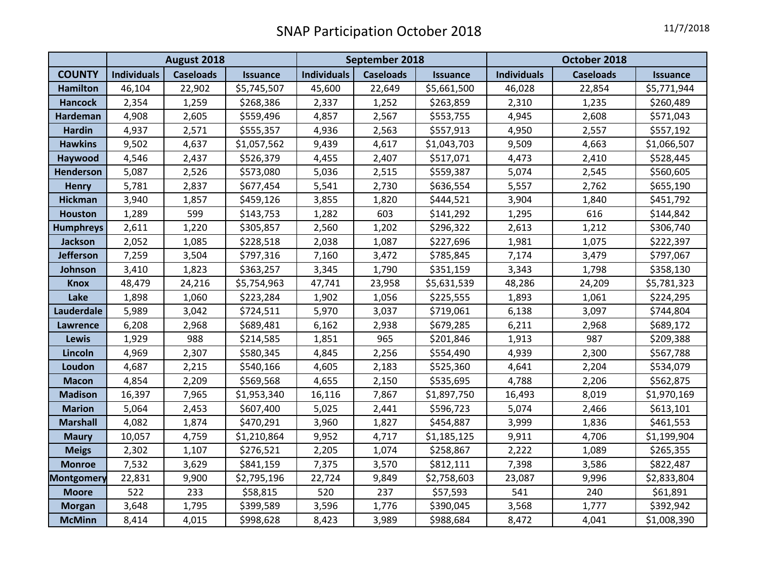|                   | August 2018        |                  |                 | September 2018     |                  |                 | October 2018       |                  |                 |
|-------------------|--------------------|------------------|-----------------|--------------------|------------------|-----------------|--------------------|------------------|-----------------|
| <b>COUNTY</b>     | <b>Individuals</b> | <b>Caseloads</b> | <b>Issuance</b> | <b>Individuals</b> | <b>Caseloads</b> | <b>Issuance</b> | <b>Individuals</b> | <b>Caseloads</b> | <b>Issuance</b> |
| <b>Hamilton</b>   | 46,104             | 22,902           | \$5,745,507     | 45,600             | 22,649           | \$5,661,500     | 46,028             | 22,854           | \$5,771,944     |
| <b>Hancock</b>    | 2,354              | 1,259            | \$268,386       | 2,337              | 1,252            | \$263,859       | 2,310              | 1,235            | \$260,489       |
| <b>Hardeman</b>   | 4,908              | 2,605            | \$559,496       | 4,857              | 2,567            | \$553,755       | 4,945              | 2,608            | \$571,043       |
| <b>Hardin</b>     | 4,937              | 2,571            | \$555,357       | 4,936              | 2,563            | \$557,913       | 4,950              | 2,557            | \$557,192       |
| <b>Hawkins</b>    | 9,502              | 4,637            | \$1,057,562     | 9,439              | 4,617            | \$1,043,703     | 9,509              | 4,663            | \$1,066,507     |
| Haywood           | 4,546              | 2,437            | \$526,379       | 4,455              | 2,407            | \$517,071       | 4,473              | 2,410            | \$528,445       |
| <b>Henderson</b>  | 5,087              | 2,526            | \$573,080       | 5,036              | 2,515            | \$559,387       | 5,074              | 2,545            | \$560,605       |
| <b>Henry</b>      | 5,781              | 2,837            | \$677,454       | 5,541              | 2,730            | \$636,554       | 5,557              | 2,762            | \$655,190       |
| <b>Hickman</b>    | 3,940              | 1,857            | \$459,126       | 3,855              | 1,820            | \$444,521       | 3,904              | 1,840            | \$451,792       |
| <b>Houston</b>    | 1,289              | 599              | \$143,753       | 1,282              | 603              | \$141,292       | 1,295              | 616              | \$144,842       |
| <b>Humphreys</b>  | 2,611              | 1,220            | \$305,857       | 2,560              | 1,202            | \$296,322       | 2,613              | 1,212            | \$306,740       |
| <b>Jackson</b>    | 2,052              | 1,085            | \$228,518       | 2,038              | 1,087            | \$227,696       | 1,981              | 1,075            | \$222,397       |
| <b>Jefferson</b>  | 7,259              | 3,504            | \$797,316       | 7,160              | 3,472            | \$785,845       | 7,174              | 3,479            | \$797,067       |
| Johnson           | 3,410              | 1,823            | \$363,257       | 3,345              | 1,790            | \$351,159       | 3,343              | 1,798            | \$358,130       |
| <b>Knox</b>       | 48,479             | 24,216           | \$5,754,963     | 47,741             | 23,958           | \$5,631,539     | 48,286             | 24,209           | \$5,781,323     |
| Lake              | 1,898              | 1,060            | \$223,284       | 1,902              | 1,056            | \$225,555       | 1,893              | 1,061            | \$224,295       |
| Lauderdale        | 5,989              | 3,042            | \$724,511       | 5,970              | 3,037            | \$719,061       | 6,138              | 3,097            | \$744,804       |
| <b>Lawrence</b>   | 6,208              | 2,968            | \$689,481       | 6,162              | 2,938            | \$679,285       | 6,211              | 2,968            | \$689,172       |
| <b>Lewis</b>      | 1,929              | 988              | \$214,585       | 1,851              | 965              | \$201,846       | 1,913              | 987              | \$209,388       |
| Lincoln           | 4,969              | 2,307            | \$580,345       | 4,845              | 2,256            | \$554,490       | 4,939              | 2,300            | \$567,788       |
| Loudon            | 4,687              | 2,215            | \$540,166       | 4,605              | 2,183            | \$525,360       | 4,641              | 2,204            | \$534,079       |
| <b>Macon</b>      | 4,854              | 2,209            | \$569,568       | 4,655              | 2,150            | \$535,695       | 4,788              | 2,206            | \$562,875       |
| <b>Madison</b>    | 16,397             | 7,965            | \$1,953,340     | 16,116             | 7,867            | \$1,897,750     | 16,493             | 8,019            | \$1,970,169     |
| <b>Marion</b>     | 5,064              | 2,453            | \$607,400       | 5,025              | 2,441            | \$596,723       | 5,074              | 2,466            | \$613,101       |
| <b>Marshall</b>   | 4,082              | 1,874            | \$470,291       | 3,960              | 1,827            | \$454,887       | 3,999              | 1,836            | \$461,553       |
| <b>Maury</b>      | 10,057             | 4,759            | \$1,210,864     | 9,952              | 4,717            | \$1,185,125     | 9,911              | 4,706            | \$1,199,904     |
| <b>Meigs</b>      | 2,302              | 1,107            | \$276,521       | 2,205              | 1,074            | \$258,867       | 2,222              | 1,089            | \$265,355       |
| <b>Monroe</b>     | 7,532              | 3,629            | \$841,159       | 7,375              | 3,570            | \$812,111       | 7,398              | 3,586            | \$822,487       |
| <b>Montgomery</b> | 22,831             | 9,900            | \$2,795,196     | 22,724             | 9,849            | \$2,758,603     | 23,087             | 9,996            | \$2,833,804     |
| <b>Moore</b>      | 522                | 233              | \$58,815        | 520                | 237              | \$57,593        | 541                | 240              | \$61,891        |
| <b>Morgan</b>     | 3,648              | 1,795            | \$399,589       | 3,596              | 1,776            | \$390,045       | 3,568              | 1,777            | \$392,942       |
| <b>McMinn</b>     | 8,414              | 4,015            | \$998,628       | 8,423              | 3,989            | \$988,684       | 8,472              | 4,041            | \$1,008,390     |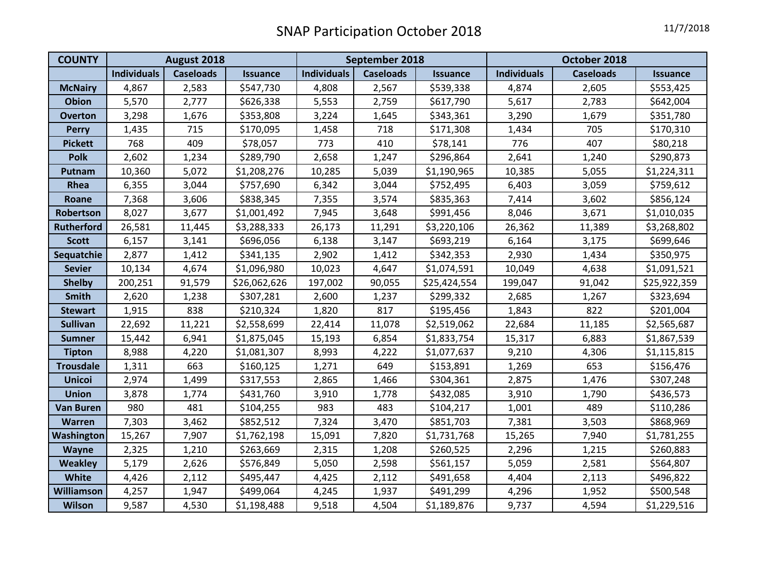| <b>COUNTY</b>     | August 2018        |                  |                 | September 2018     |                  |                 | October 2018       |                  |                 |
|-------------------|--------------------|------------------|-----------------|--------------------|------------------|-----------------|--------------------|------------------|-----------------|
|                   | <b>Individuals</b> | <b>Caseloads</b> | <b>Issuance</b> | <b>Individuals</b> | <b>Caseloads</b> | <b>Issuance</b> | <b>Individuals</b> | <b>Caseloads</b> | <b>Issuance</b> |
| <b>McNairy</b>    | 4,867              | 2,583            | \$547,730       | 4,808              | 2,567            | \$539,338       | 4,874              | 2,605            | \$553,425       |
| <b>Obion</b>      | 5,570              | 2,777            | \$626,338       | 5,553              | 2,759            | \$617,790       | 5,617              | 2,783            | \$642,004       |
| <b>Overton</b>    | 3,298              | 1,676            | \$353,808       | 3,224              | 1,645            | \$343,361       | 3,290              | 1,679            | \$351,780       |
| <b>Perry</b>      | 1,435              | 715              | \$170,095       | 1,458              | 718              | \$171,308       | 1,434              | 705              | \$170,310       |
| <b>Pickett</b>    | 768                | 409              | \$78,057        | 773                | 410              | \$78,141        | 776                | 407              | \$80,218        |
| <b>Polk</b>       | 2,602              | 1,234            | \$289,790       | 2,658              | 1,247            | \$296,864       | 2,641              | 1,240            | \$290,873       |
| Putnam            | 10,360             | 5,072            | \$1,208,276     | 10,285             | 5,039            | \$1,190,965     | 10,385             | 5,055            | \$1,224,311     |
| Rhea              | 6,355              | 3,044            | \$757,690       | 6,342              | 3,044            | \$752,495       | 6,403              | 3,059            | \$759,612       |
| Roane             | 7,368              | 3,606            | \$838,345       | 7,355              | 3,574            | \$835,363       | 7,414              | 3,602            | \$856,124       |
| Robertson         | 8,027              | 3,677            | \$1,001,492     | 7,945              | 3,648            | \$991,456       | 8,046              | 3,671            | \$1,010,035     |
| <b>Rutherford</b> | 26,581             | 11,445           | \$3,288,333     | 26,173             | 11,291           | \$3,220,106     | 26,362             | 11,389           | \$3,268,802     |
| <b>Scott</b>      | 6,157              | 3,141            | \$696,056       | 6,138              | 3,147            | \$693,219       | 6,164              | 3,175            | \$699,646       |
| Sequatchie        | 2,877              | 1,412            | \$341,135       | 2,902              | 1,412            | \$342,353       | 2,930              | 1,434            | \$350,975       |
| <b>Sevier</b>     | 10,134             | 4,674            | \$1,096,980     | 10,023             | 4,647            | \$1,074,591     | 10,049             | 4,638            | \$1,091,521     |
| <b>Shelby</b>     | 200,251            | 91,579           | \$26,062,626    | 197,002            | 90,055           | \$25,424,554    | 199,047            | 91,042           | \$25,922,359    |
| <b>Smith</b>      | 2,620              | 1,238            | \$307,281       | 2,600              | 1,237            | \$299,332       | 2,685              | 1,267            | \$323,694       |
| <b>Stewart</b>    | 1,915              | 838              | \$210,324       | 1,820              | 817              | \$195,456       | 1,843              | 822              | \$201,004       |
| <b>Sullivan</b>   | 22,692             | 11,221           | \$2,558,699     | 22,414             | 11,078           | \$2,519,062     | 22,684             | 11,185           | \$2,565,687     |
| <b>Sumner</b>     | 15,442             | 6,941            | \$1,875,045     | 15,193             | 6,854            | \$1,833,754     | 15,317             | 6,883            | \$1,867,539     |
| <b>Tipton</b>     | 8,988              | 4,220            | \$1,081,307     | 8,993              | 4,222            | \$1,077,637     | 9,210              | 4,306            | \$1,115,815     |
| <b>Trousdale</b>  | 1,311              | 663              | \$160,125       | 1,271              | 649              | \$153,891       | 1,269              | 653              | \$156,476       |
| <b>Unicoi</b>     | 2,974              | 1,499            | \$317,553       | 2,865              | 1,466            | \$304,361       | 2,875              | 1,476            | \$307,248       |
| <b>Union</b>      | 3,878              | 1,774            | \$431,760       | 3,910              | 1,778            | \$432,085       | 3,910              | 1,790            | \$436,573       |
| <b>Van Buren</b>  | 980                | 481              | \$104,255       | 983                | 483              | \$104,217       | 1,001              | 489              | \$110,286       |
| <b>Warren</b>     | 7,303              | 3,462            | \$852,512       | 7,324              | 3,470            | \$851,703       | 7,381              | 3,503            | \$868,969       |
| Washington        | 15,267             | 7,907            | \$1,762,198     | 15,091             | 7,820            | \$1,731,768     | 15,265             | 7,940            | \$1,781,255     |
| Wayne             | 2,325              | 1,210            | \$263,669       | 2,315              | 1,208            | \$260,525       | 2,296              | 1,215            | \$260,883       |
| <b>Weakley</b>    | 5,179              | 2,626            | \$576,849       | 5,050              | 2,598            | \$561,157       | 5,059              | 2,581            | \$564,807       |
| <b>White</b>      | 4,426              | 2,112            | \$495,447       | 4,425              | 2,112            | \$491,658       | 4,404              | 2,113            | \$496,822       |
| <b>Williamson</b> | 4,257              | 1,947            | \$499,064       | 4,245              | 1,937            | \$491,299       | 4,296              | 1,952            | \$500,548       |
| Wilson            | 9,587              | 4,530            | \$1,198,488     | 9,518              | 4,504            | \$1,189,876     | 9,737              | 4,594            | \$1,229,516     |